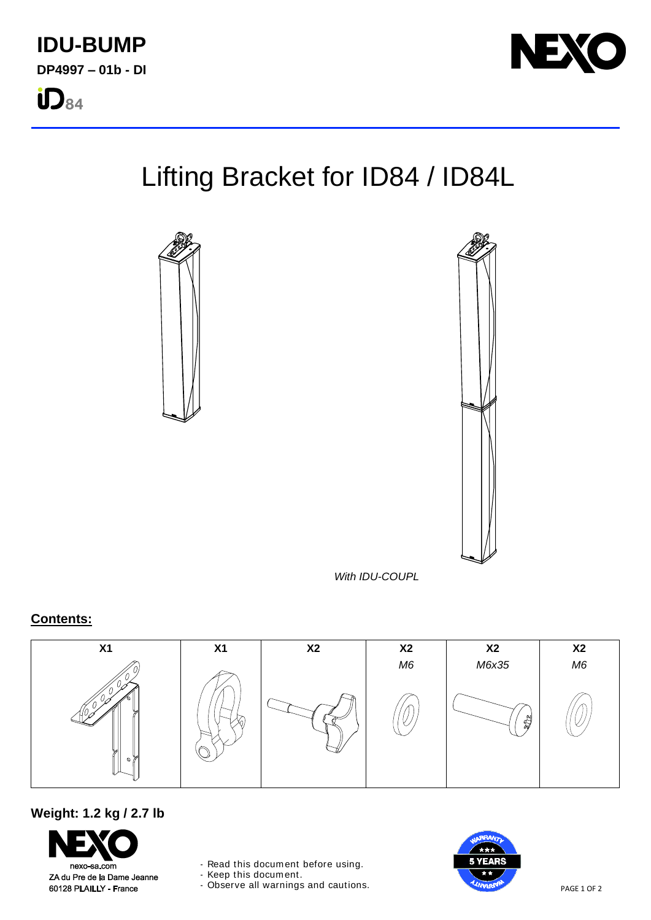

# Lifting Bracket for ID84 / ID84L





*With IDU-COUPL*

## **Contents:**



## **Weight: 1.2 kg / 2.7 lb**

nexo-sa.com ZA du Pre de la Dame Jeanne 60128 PLAILLY - France

- Read this document before using.

- Keep this document.

- Observe all warnings and cautions.